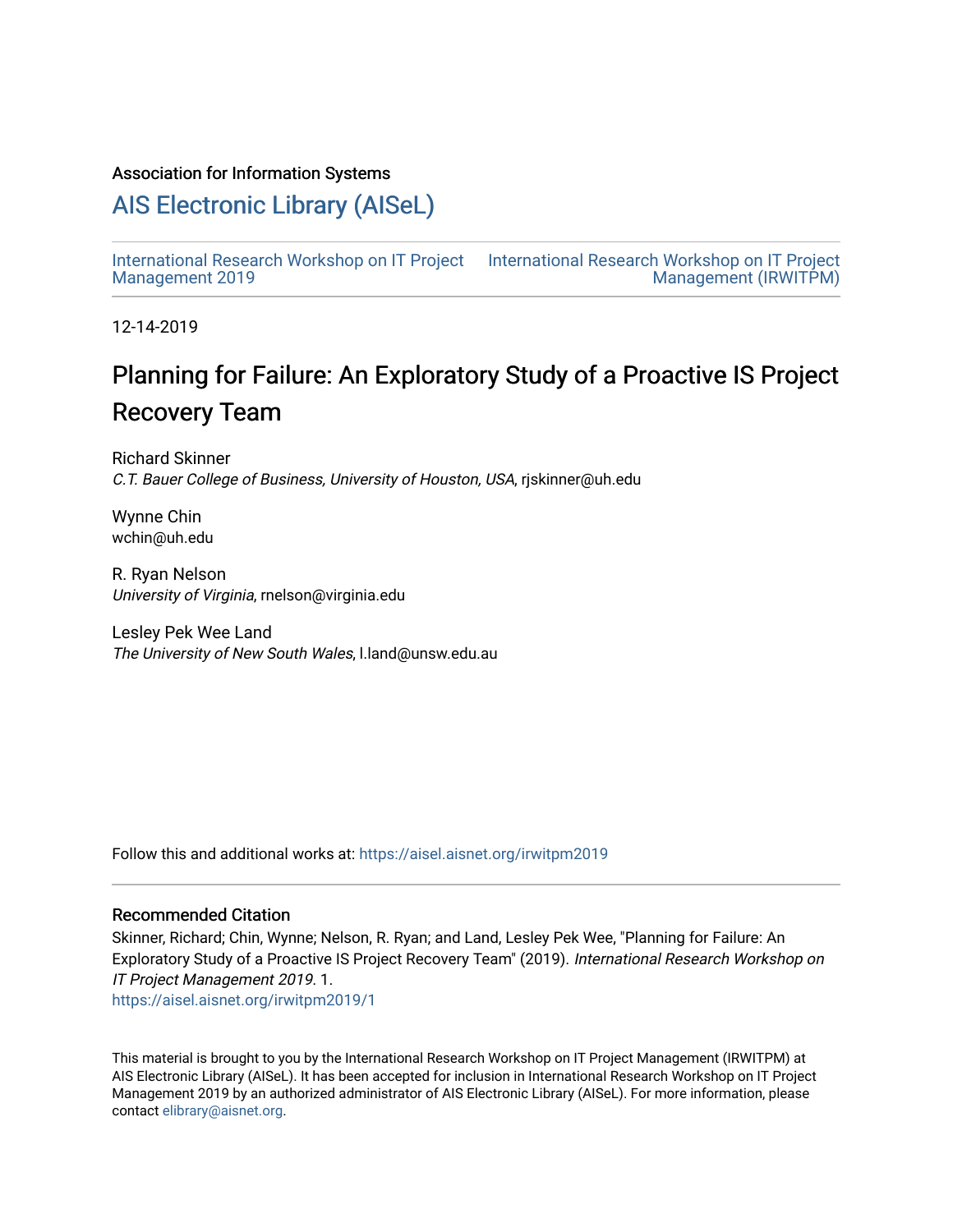#### Association for Information Systems

### [AIS Electronic Library \(AISeL\)](https://aisel.aisnet.org/)

[International Research Workshop on IT Project](https://aisel.aisnet.org/irwitpm2019) [Management 2019](https://aisel.aisnet.org/irwitpm2019)

[International Research Workshop on IT Project](https://aisel.aisnet.org/irwitpm)  [Management \(IRWITPM\)](https://aisel.aisnet.org/irwitpm) 

12-14-2019

## Planning for Failure: An Exploratory Study of a Proactive IS Project Recovery Team

Richard Skinner C.T. Bauer College of Business, University of Houston, USA, rjskinner@uh.edu

Wynne Chin wchin@uh.edu

R. Ryan Nelson University of Virginia, rnelson@virginia.edu

Lesley Pek Wee Land The University of New South Wales, l.land@unsw.edu.au

Follow this and additional works at: [https://aisel.aisnet.org/irwitpm2019](https://aisel.aisnet.org/irwitpm2019?utm_source=aisel.aisnet.org%2Firwitpm2019%2F1&utm_medium=PDF&utm_campaign=PDFCoverPages) 

#### Recommended Citation

Skinner, Richard; Chin, Wynne; Nelson, R. Ryan; and Land, Lesley Pek Wee, "Planning for Failure: An Exploratory Study of a Proactive IS Project Recovery Team" (2019). International Research Workshop on IT Project Management 2019. 1.

[https://aisel.aisnet.org/irwitpm2019/1](https://aisel.aisnet.org/irwitpm2019/1?utm_source=aisel.aisnet.org%2Firwitpm2019%2F1&utm_medium=PDF&utm_campaign=PDFCoverPages) 

This material is brought to you by the International Research Workshop on IT Project Management (IRWITPM) at AIS Electronic Library (AISeL). It has been accepted for inclusion in International Research Workshop on IT Project Management 2019 by an authorized administrator of AIS Electronic Library (AISeL). For more information, please contact [elibrary@aisnet.org.](mailto:elibrary@aisnet.org%3E)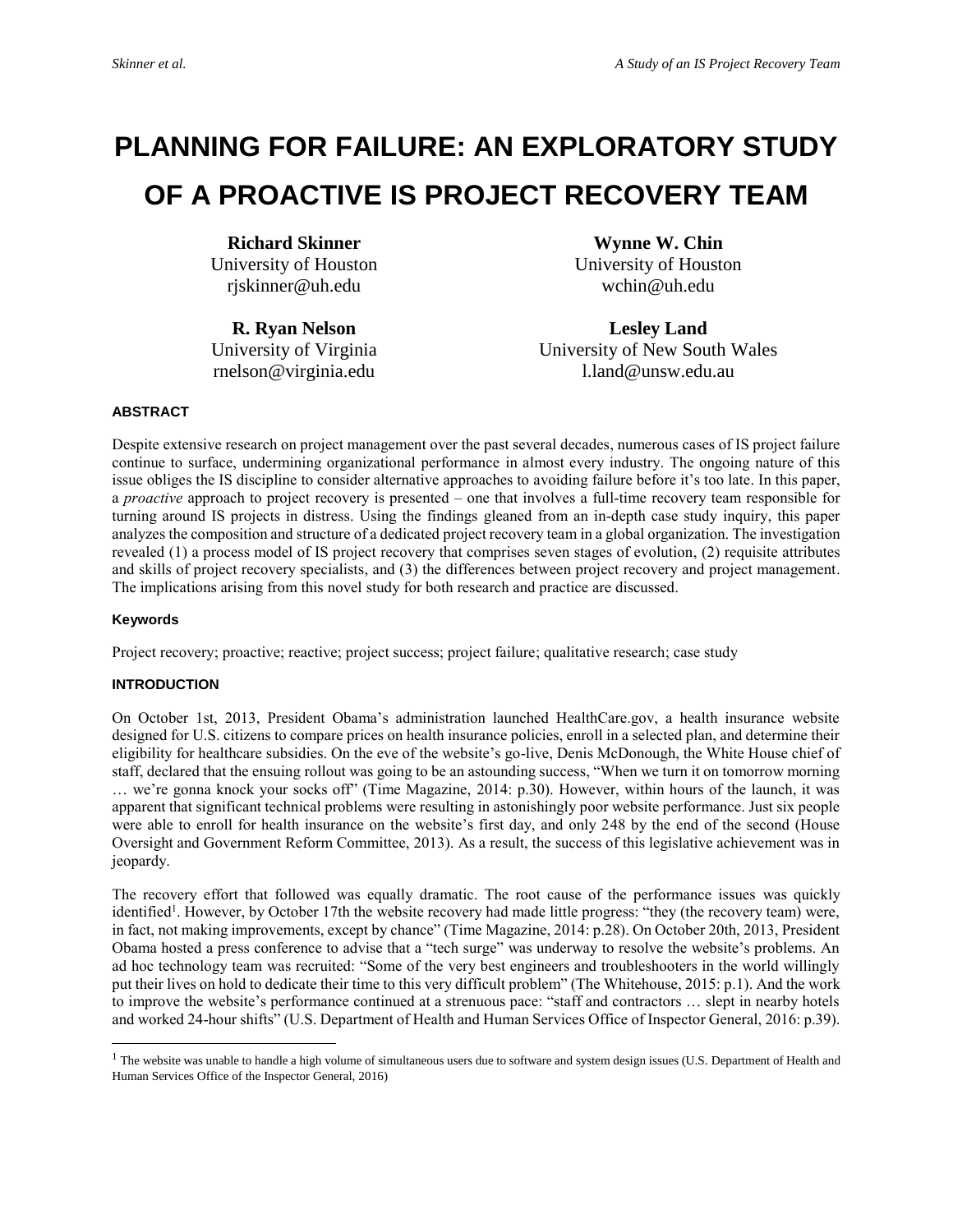# **PLANNING FOR FAILURE: AN EXPLORATORY STUDY OF A PROACTIVE IS PROJECT RECOVERY TEAM**

**Richard Skinner** University of Houston rjskinner@uh.edu

**R. Ryan Nelson** University of Virginia rnelson@virginia.edu

**Wynne W. Chin** University of Houston wchin@uh.edu

**Lesley Land** University of New South Wales l.land@unsw.edu.au

#### **ABSTRACT**

Despite extensive research on project management over the past several decades, numerous cases of IS project failure continue to surface, undermining organizational performance in almost every industry. The ongoing nature of this issue obliges the IS discipline to consider alternative approaches to avoiding failure before it's too late. In this paper, a *proactive* approach to project recovery is presented – one that involves a full-time recovery team responsible for turning around IS projects in distress. Using the findings gleaned from an in-depth case study inquiry, this paper analyzes the composition and structure of a dedicated project recovery team in a global organization. The investigation revealed (1) a process model of IS project recovery that comprises seven stages of evolution, (2) requisite attributes and skills of project recovery specialists, and (3) the differences between project recovery and project management. The implications arising from this novel study for both research and practice are discussed.

#### **Keywords**

 $\overline{a}$ 

Project recovery; proactive; reactive; project success; project failure; qualitative research; case study

#### **INTRODUCTION**

On October 1st, 2013, President Obama's administration launched HealthCare.gov, a health insurance website designed for U.S. citizens to compare prices on health insurance policies, enroll in a selected plan, and determine their eligibility for healthcare subsidies. On the eve of the website's go-live, Denis McDonough, the White House chief of staff, declared that the ensuing rollout was going to be an astounding success, "When we turn it on tomorrow morning … we're gonna knock your socks off" (Time Magazine, 2014: p.30). However, within hours of the launch, it was apparent that significant technical problems were resulting in astonishingly poor website performance. Just six people were able to enroll for health insurance on the website's first day, and only 248 by the end of the second (House Oversight and Government Reform Committee, 2013). As a result, the success of this legislative achievement was in jeopardy.

The recovery effort that followed was equally dramatic. The root cause of the performance issues was quickly identified<sup>1</sup>. However, by October 17th the website recovery had made little progress: "they (the recovery team) were, in fact, not making improvements, except by chance" (Time Magazine, 2014: p.28). On October 20th, 2013, President Obama hosted a press conference to advise that a "tech surge" was underway to resolve the website's problems. An ad hoc technology team was recruited: "Some of the very best engineers and troubleshooters in the world willingly put their lives on hold to dedicate their time to this very difficult problem" (The Whitehouse, 2015: p.1). And the work to improve the website's performance continued at a strenuous pace: "staff and contractors … slept in nearby hotels and worked 24-hour shifts" (U.S. Department of Health and Human Services Office of Inspector General, 2016: p.39).

<sup>&</sup>lt;sup>1</sup> The website was unable to handle a high volume of simultaneous users due to software and system design issues (U.S. Department of Health and Human Services Office of the Inspector General, 2016)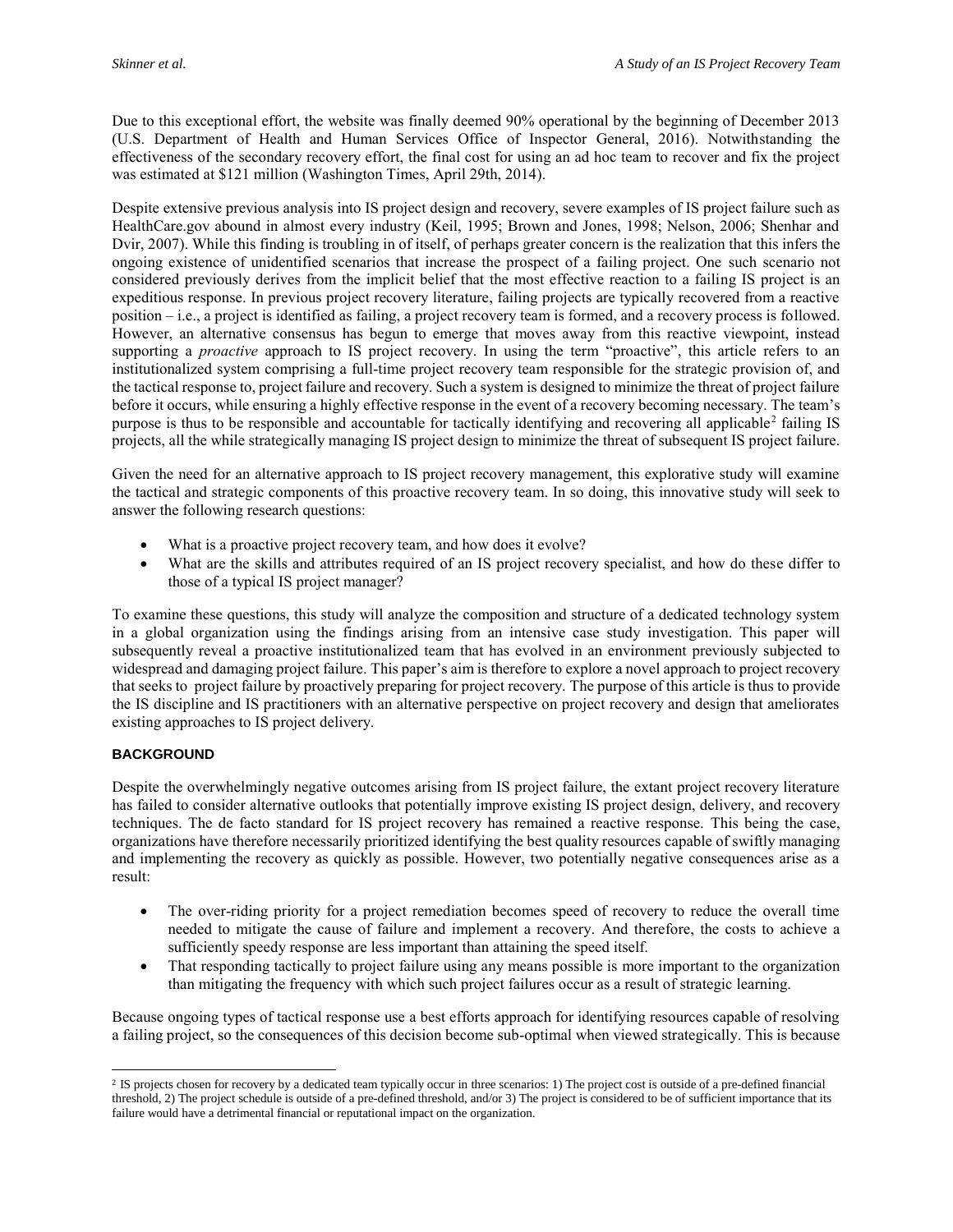Due to this exceptional effort, the website was finally deemed 90% operational by the beginning of December 2013 (U.S. Department of Health and Human Services Office of Inspector General, 2016). Notwithstanding the effectiveness of the secondary recovery effort, the final cost for using an ad hoc team to recover and fix the project was estimated at \$121 million (Washington Times, April 29th, 2014).

Despite extensive previous analysis into IS project design and recovery, severe examples of IS project failure such as HealthCare.gov abound in almost every industry (Keil, 1995; Brown and Jones, 1998; Nelson, 2006; Shenhar and Dvir, 2007). While this finding is troubling in of itself, of perhaps greater concern is the realization that this infers the ongoing existence of unidentified scenarios that increase the prospect of a failing project. One such scenario not considered previously derives from the implicit belief that the most effective reaction to a failing IS project is an expeditious response. In previous project recovery literature, failing projects are typically recovered from a reactive position – i.e., a project is identified as failing, a project recovery team is formed, and a recovery process is followed. However, an alternative consensus has begun to emerge that moves away from this reactive viewpoint, instead supporting a *proactive* approach to IS project recovery. In using the term "proactive", this article refers to an institutionalized system comprising a full-time project recovery team responsible for the strategic provision of, and the tactical response to, project failure and recovery. Such a system is designed to minimize the threat of project failure before it occurs, while ensuring a highly effective response in the event of a recovery becoming necessary. The team's purpose is thus to be responsible and accountable for tactically identifying and recovering all applicable<sup>2</sup> failing IS projects, all the while strategically managing IS project design to minimize the threat of subsequent IS project failure.

Given the need for an alternative approach to IS project recovery management, this explorative study will examine the tactical and strategic components of this proactive recovery team. In so doing, this innovative study will seek to answer the following research questions:

- What is a proactive project recovery team, and how does it evolve?
- What are the skills and attributes required of an IS project recovery specialist, and how do these differ to those of a typical IS project manager?

To examine these questions, this study will analyze the composition and structure of a dedicated technology system in a global organization using the findings arising from an intensive case study investigation. This paper will subsequently reveal a proactive institutionalized team that has evolved in an environment previously subjected to widespread and damaging project failure. This paper's aim is therefore to explore a novel approach to project recovery that seeks to project failure by proactively preparing for project recovery. The purpose of this article is thus to provide the IS discipline and IS practitioners with an alternative perspective on project recovery and design that ameliorates existing approaches to IS project delivery.

#### **BACKGROUND**

 $\overline{a}$ 

Despite the overwhelmingly negative outcomes arising from IS project failure, the extant project recovery literature has failed to consider alternative outlooks that potentially improve existing IS project design, delivery, and recovery techniques. The de facto standard for IS project recovery has remained a reactive response. This being the case, organizations have therefore necessarily prioritized identifying the best quality resources capable of swiftly managing and implementing the recovery as quickly as possible. However, two potentially negative consequences arise as a result:

- The over-riding priority for a project remediation becomes speed of recovery to reduce the overall time needed to mitigate the cause of failure and implement a recovery. And therefore, the costs to achieve a sufficiently speedy response are less important than attaining the speed itself.
- That responding tactically to project failure using any means possible is more important to the organization than mitigating the frequency with which such project failures occur as a result of strategic learning.

Because ongoing types of tactical response use a best efforts approach for identifying resources capable of resolving a failing project, so the consequences of this decision become sub-optimal when viewed strategically. This is because

<sup>2</sup> IS projects chosen for recovery by a dedicated team typically occur in three scenarios: 1) The project cost is outside of a pre-defined financial threshold, 2) The project schedule is outside of a pre-defined threshold, and/or 3) The project is considered to be of sufficient importance that its failure would have a detrimental financial or reputational impact on the organization.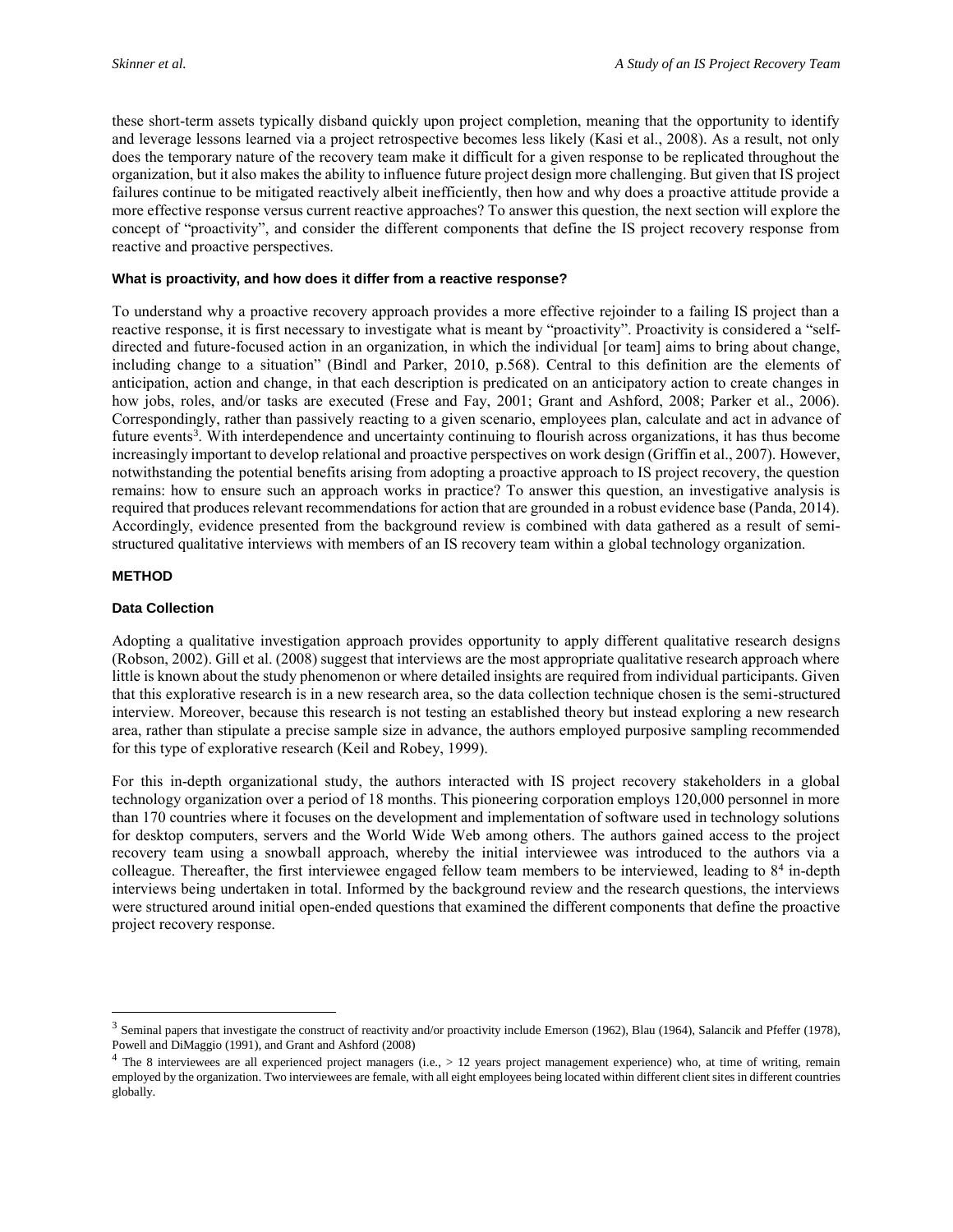these short-term assets typically disband quickly upon project completion, meaning that the opportunity to identify and leverage lessons learned via a project retrospective becomes less likely (Kasi et al., 2008). As a result, not only does the temporary nature of the recovery team make it difficult for a given response to be replicated throughout the organization, but it also makes the ability to influence future project design more challenging. But given that IS project failures continue to be mitigated reactively albeit inefficiently, then how and why does a proactive attitude provide a more effective response versus current reactive approaches? To answer this question, the next section will explore the concept of "proactivity", and consider the different components that define the IS project recovery response from reactive and proactive perspectives.

#### **What is proactivity, and how does it differ from a reactive response?**

To understand why a proactive recovery approach provides a more effective rejoinder to a failing IS project than a reactive response, it is first necessary to investigate what is meant by "proactivity". Proactivity is considered a "selfdirected and future-focused action in an organization, in which the individual [or team] aims to bring about change, including change to a situation" (Bindl and Parker, 2010, p.568). Central to this definition are the elements of anticipation, action and change, in that each description is predicated on an anticipatory action to create changes in how jobs, roles, and/or tasks are executed (Frese and Fay, 2001; Grant and Ashford, 2008; Parker et al., 2006). Correspondingly, rather than passively reacting to a given scenario, employees plan, calculate and act in advance of future events<sup>3</sup>. With interdependence and uncertainty continuing to flourish across organizations, it has thus become increasingly important to develop relational and proactive perspectives on work design (Griffin et al., 2007). However, notwithstanding the potential benefits arising from adopting a proactive approach to IS project recovery, the question remains: how to ensure such an approach works in practice? To answer this question, an investigative analysis is required that produces relevant recommendations for action that are grounded in a robust evidence base (Panda, 2014). Accordingly, evidence presented from the background review is combined with data gathered as a result of semistructured qualitative interviews with members of an IS recovery team within a global technology organization.

#### **METHOD**

 $\overline{a}$ 

#### **Data Collection**

Adopting a qualitative investigation approach provides opportunity to apply different qualitative research designs (Robson, 2002). Gill et al. (2008) suggest that interviews are the most appropriate qualitative research approach where little is known about the study phenomenon or where detailed insights are required from individual participants. Given that this explorative research is in a new research area, so the data collection technique chosen is the semi-structured interview. Moreover, because this research is not testing an established theory but instead exploring a new research area, rather than stipulate a precise sample size in advance, the authors employed purposive sampling recommended for this type of explorative research (Keil and Robey, 1999).

For this in-depth organizational study, the authors interacted with IS project recovery stakeholders in a global technology organization over a period of 18 months. This pioneering corporation employs 120,000 personnel in more than 170 countries where it focuses on the development and implementation of software used in technology solutions for desktop computers, servers and the World Wide Web among others. The authors gained access to the project recovery team using a snowball approach, whereby the initial interviewee was introduced to the authors via a colleague. Thereafter, the first interviewee engaged fellow team members to be interviewed, leading to 8<sup>4</sup> in-depth interviews being undertaken in total. Informed by the background review and the research questions, the interviews were structured around initial open-ended questions that examined the different components that define the proactive project recovery response.

<sup>&</sup>lt;sup>3</sup> Seminal papers that investigate the construct of reactivity and/or proactivity include Emerson (1962), Blau (1964), Salancik and Pfeffer (1978), Powell and DiMaggio (1991), and Grant and Ashford (2008)

 $4$  The 8 interviewees are all experienced project managers (i.e.,  $> 12$  years project management experience) who, at time of writing, remain employed by the organization. Two interviewees are female, with all eight employees being located within different client sites in different countries globally.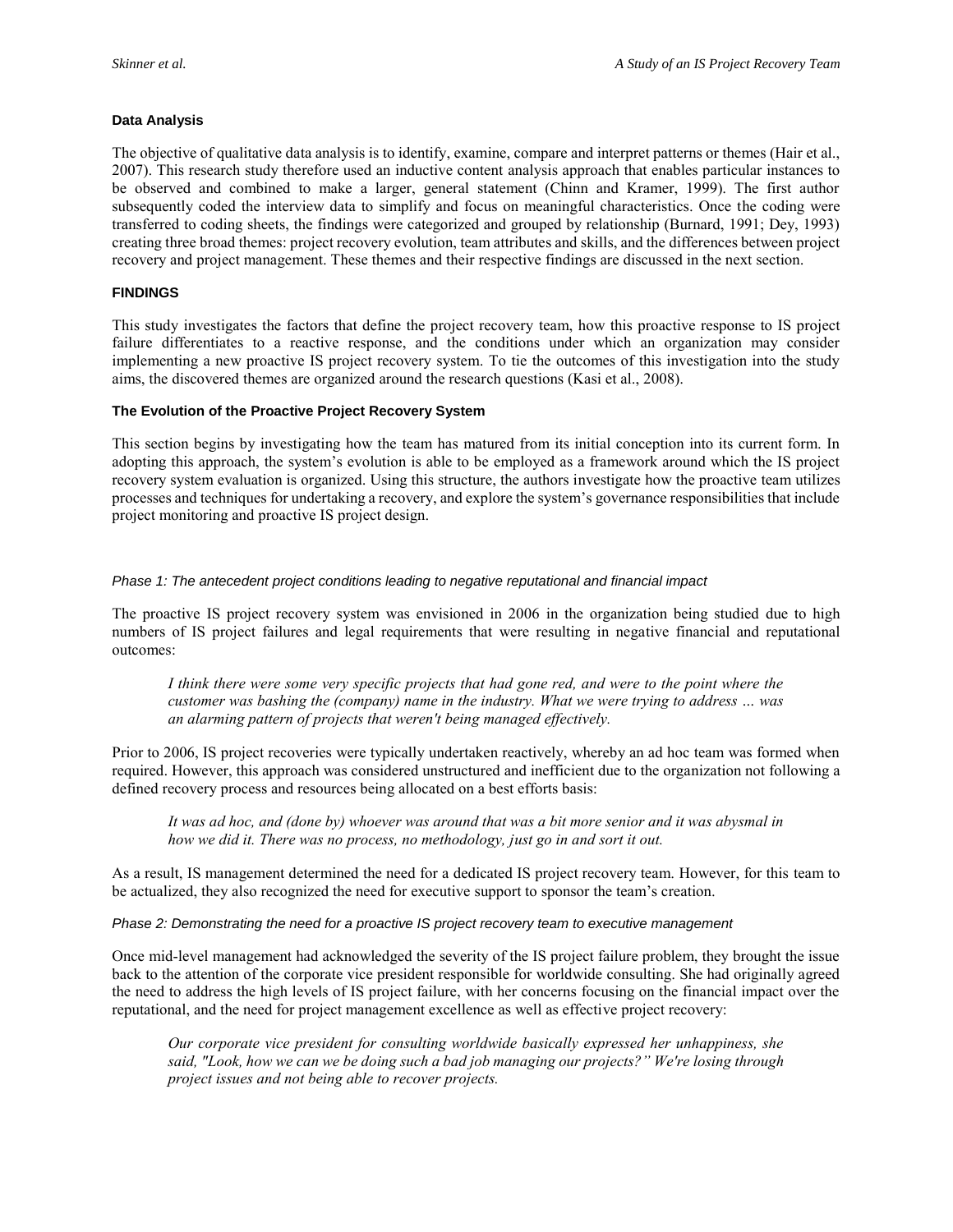#### **Data Analysis**

The objective of qualitative data analysis is to identify, examine, compare and interpret patterns or themes (Hair et al., 2007). This research study therefore used an inductive content analysis approach that enables particular instances to be observed and combined to make a larger, general statement (Chinn and Kramer, 1999). The first author subsequently coded the interview data to simplify and focus on meaningful characteristics. Once the coding were transferred to coding sheets, the findings were categorized and grouped by relationship (Burnard, 1991; Dey, 1993) creating three broad themes: project recovery evolution, team attributes and skills, and the differences between project recovery and project management. These themes and their respective findings are discussed in the next section.

#### **FINDINGS**

This study investigates the factors that define the project recovery team, how this proactive response to IS project failure differentiates to a reactive response, and the conditions under which an organization may consider implementing a new proactive IS project recovery system. To tie the outcomes of this investigation into the study aims, the discovered themes are organized around the research questions (Kasi et al., 2008).

#### **The Evolution of the Proactive Project Recovery System**

This section begins by investigating how the team has matured from its initial conception into its current form. In adopting this approach, the system's evolution is able to be employed as a framework around which the IS project recovery system evaluation is organized. Using this structure, the authors investigate how the proactive team utilizes processes and techniques for undertaking a recovery, and explore the system's governance responsibilities that include project monitoring and proactive IS project design.

#### *Phase 1: The antecedent project conditions leading to negative reputational and financial impact*

The proactive IS project recovery system was envisioned in 2006 in the organization being studied due to high numbers of IS project failures and legal requirements that were resulting in negative financial and reputational outcomes:

*I think there were some very specific projects that had gone red, and were to the point where the customer was bashing the (company) name in the industry. What we were trying to address … was an alarming pattern of projects that weren't being managed effectively.*

Prior to 2006, IS project recoveries were typically undertaken reactively, whereby an ad hoc team was formed when required. However, this approach was considered unstructured and inefficient due to the organization not following a defined recovery process and resources being allocated on a best efforts basis:

*It was ad hoc, and (done by) whoever was around that was a bit more senior and it was abysmal in how we did it. There was no process, no methodology, just go in and sort it out.*

As a result, IS management determined the need for a dedicated IS project recovery team. However, for this team to be actualized, they also recognized the need for executive support to sponsor the team's creation.

#### *Phase 2: Demonstrating the need for a proactive IS project recovery team to executive management*

Once mid-level management had acknowledged the severity of the IS project failure problem, they brought the issue back to the attention of the corporate vice president responsible for worldwide consulting. She had originally agreed the need to address the high levels of IS project failure, with her concerns focusing on the financial impact over the reputational, and the need for project management excellence as well as effective project recovery:

*Our corporate vice president for consulting worldwide basically expressed her unhappiness, she said, "Look, how we can we be doing such a bad job managing our projects?" We're losing through project issues and not being able to recover projects.*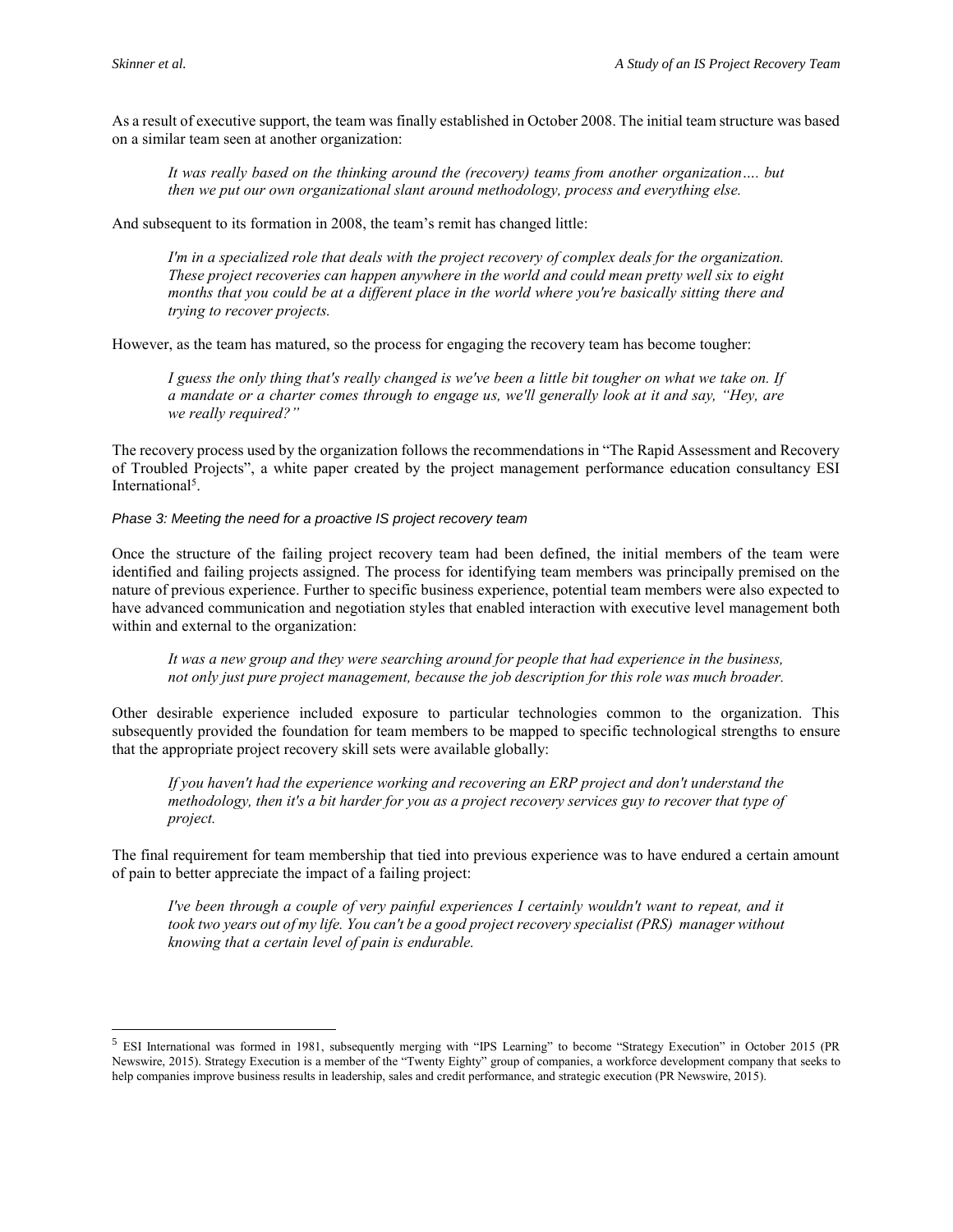$\overline{a}$ 

As a result of executive support, the team was finally established in October 2008. The initial team structure was based on a similar team seen at another organization:

It was really based on the thinking around the (recovery) teams from another organization.... but *then we put our own organizational slant around methodology, process and everything else.*

And subsequent to its formation in 2008, the team's remit has changed little:

*I'm in a specialized role that deals with the project recovery of complex deals for the organization. These project recoveries can happen anywhere in the world and could mean pretty well six to eight months that you could be at a different place in the world where you're basically sitting there and trying to recover projects.* 

However, as the team has matured, so the process for engaging the recovery team has become tougher:

*I guess the only thing that's really changed is we've been a little bit tougher on what we take on. If a mandate or a charter comes through to engage us, we'll generally look at it and say, "Hey, are we really required?"*

The recovery process used by the organization follows the recommendations in "The Rapid Assessment and Recovery of Troubled Projects", a white paper created by the project management performance education consultancy ESI International<sup>5</sup>.

*Phase 3: Meeting the need for a proactive IS project recovery team*

Once the structure of the failing project recovery team had been defined, the initial members of the team were identified and failing projects assigned. The process for identifying team members was principally premised on the nature of previous experience. Further to specific business experience, potential team members were also expected to have advanced communication and negotiation styles that enabled interaction with executive level management both within and external to the organization:

*It was a new group and they were searching around for people that had experience in the business, not only just pure project management, because the job description for this role was much broader.*

Other desirable experience included exposure to particular technologies common to the organization. This subsequently provided the foundation for team members to be mapped to specific technological strengths to ensure that the appropriate project recovery skill sets were available globally:

*If you haven't had the experience working and recovering an ERP project and don't understand the methodology, then it's a bit harder for you as a project recovery services guy to recover that type of project.* 

The final requirement for team membership that tied into previous experience was to have endured a certain amount of pain to better appreciate the impact of a failing project:

*I've been through a couple of very painful experiences I certainly wouldn't want to repeat, and it took two years out of my life. You can't be a good project recovery specialist (PRS) manager without knowing that a certain level of pain is endurable.*

<sup>5</sup> ESI International was formed in 1981, subsequently merging with "IPS Learning" to become "Strategy Execution" in October 2015 (PR Newswire, 2015). Strategy Execution is a member of the "Twenty Eighty" group of companies, a workforce development company that seeks to help companies improve business results in leadership, sales and credit performance, and strategic execution (PR Newswire, 2015).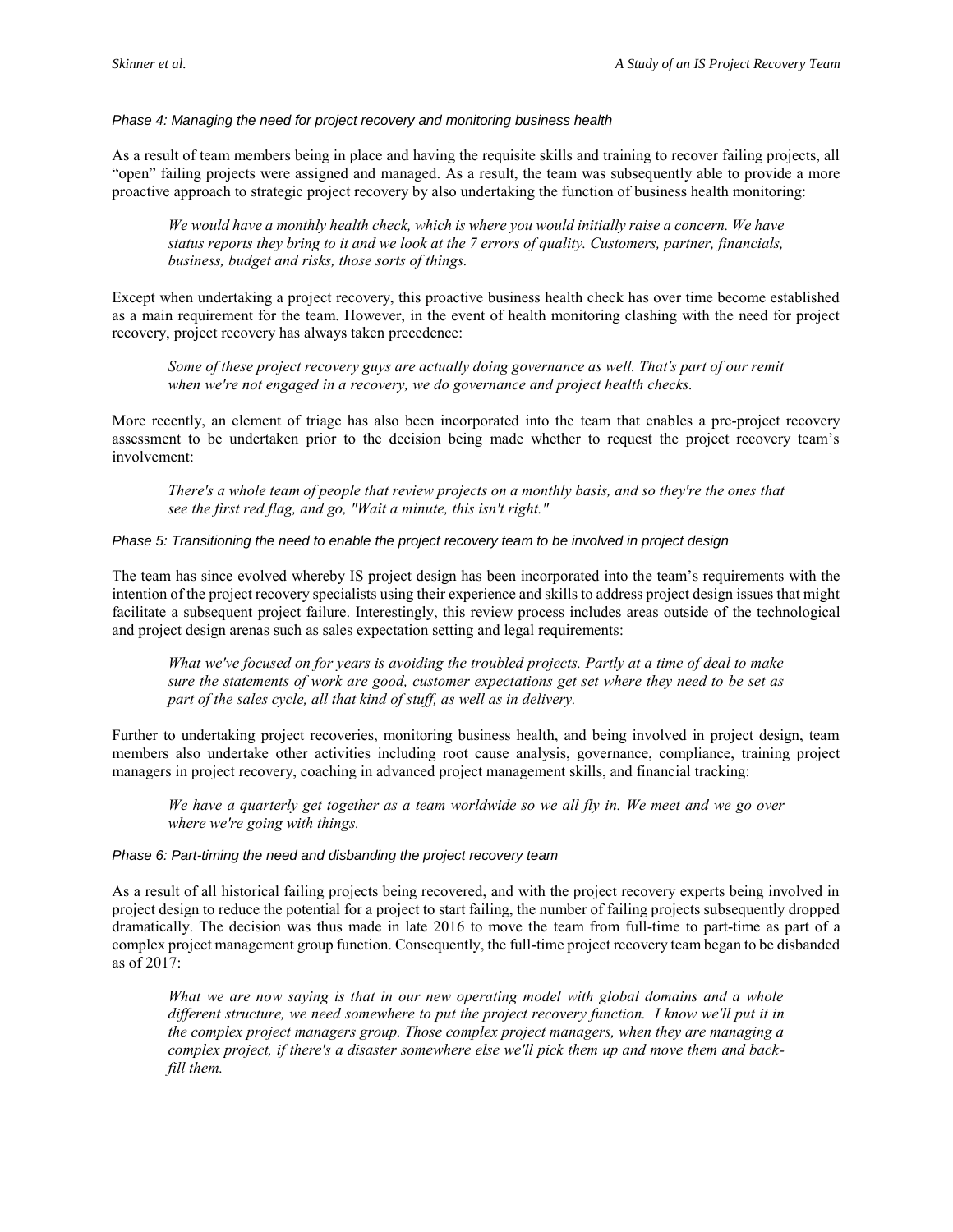*Phase 4: Managing the need for project recovery and monitoring business health*

As a result of team members being in place and having the requisite skills and training to recover failing projects, all "open" failing projects were assigned and managed. As a result, the team was subsequently able to provide a more proactive approach to strategic project recovery by also undertaking the function of business health monitoring:

*We would have a monthly health check, which is where you would initially raise a concern. We have status reports they bring to it and we look at the 7 errors of quality. Customers, partner, financials, business, budget and risks, those sorts of things.* 

Except when undertaking a project recovery, this proactive business health check has over time become established as a main requirement for the team. However, in the event of health monitoring clashing with the need for project recovery, project recovery has always taken precedence:

*Some of these project recovery guys are actually doing governance as well. That's part of our remit when we're not engaged in a recovery, we do governance and project health checks.* 

More recently, an element of triage has also been incorporated into the team that enables a pre-project recovery assessment to be undertaken prior to the decision being made whether to request the project recovery team's involvement:

*There's a whole team of people that review projects on a monthly basis, and so they're the ones that see the first red flag, and go, "Wait a minute, this isn't right."* 

#### *Phase 5: Transitioning the need to enable the project recovery team to be involved in project design*

The team has since evolved whereby IS project design has been incorporated into the team's requirements with the intention of the project recovery specialists using their experience and skills to address project design issues that might facilitate a subsequent project failure. Interestingly, this review process includes areas outside of the technological and project design arenas such as sales expectation setting and legal requirements:

*What we've focused on for years is avoiding the troubled projects. Partly at a time of deal to make sure the statements of work are good, customer expectations get set where they need to be set as part of the sales cycle, all that kind of stuff, as well as in delivery.* 

Further to undertaking project recoveries, monitoring business health, and being involved in project design, team members also undertake other activities including root cause analysis, governance, compliance, training project managers in project recovery, coaching in advanced project management skills, and financial tracking:

*We have a quarterly get together as a team worldwide so we all fly in. We meet and we go over where we're going with things.* 

#### *Phase 6: Part-timing the need and disbanding the project recovery team*

As a result of all historical failing projects being recovered, and with the project recovery experts being involved in project design to reduce the potential for a project to start failing, the number of failing projects subsequently dropped dramatically. The decision was thus made in late 2016 to move the team from full-time to part-time as part of a complex project management group function. Consequently, the full-time project recovery team began to be disbanded as of 2017:

*What we are now saying is that in our new operating model with global domains and a whole different structure, we need somewhere to put the project recovery function. I know we'll put it in the complex project managers group. Those complex project managers, when they are managing a complex project, if there's a disaster somewhere else we'll pick them up and move them and backfill them.*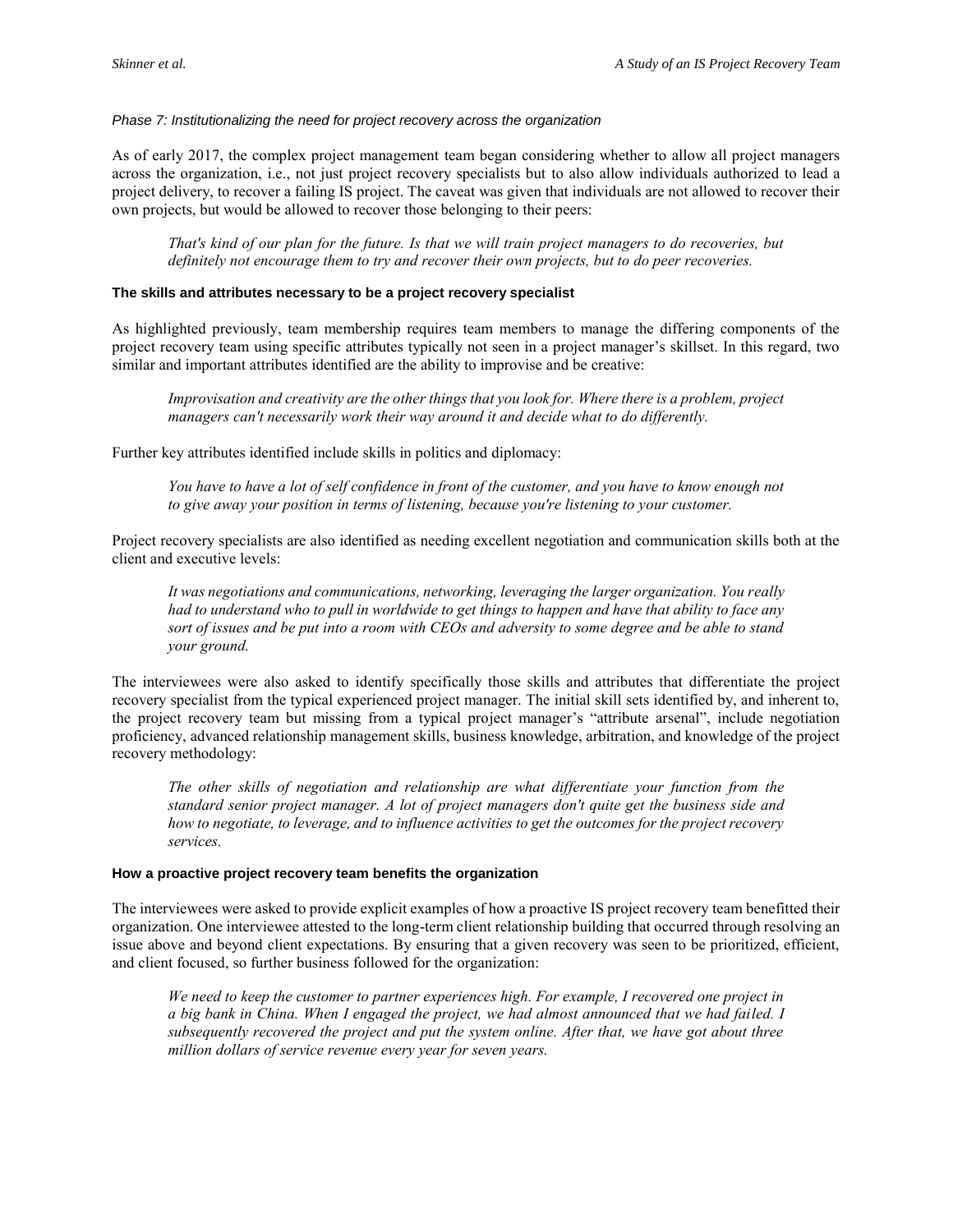*Phase 7: Institutionalizing the need for project recovery across the organization*

As of early 2017, the complex project management team began considering whether to allow all project managers across the organization, i.e., not just project recovery specialists but to also allow individuals authorized to lead a project delivery, to recover a failing IS project. The caveat was given that individuals are not allowed to recover their own projects, but would be allowed to recover those belonging to their peers:

*That's kind of our plan for the future. Is that we will train project managers to do recoveries, but definitely not encourage them to try and recover their own projects, but to do peer recoveries.* 

#### **The skills and attributes necessary to be a project recovery specialist**

As highlighted previously, team membership requires team members to manage the differing components of the project recovery team using specific attributes typically not seen in a project manager's skillset. In this regard, two similar and important attributes identified are the ability to improvise and be creative:

*Improvisation and creativity are the other things that you look for. Where there is a problem, project managers can't necessarily work their way around it and decide what to do differently.* 

Further key attributes identified include skills in politics and diplomacy:

*You have to have a lot of self confidence in front of the customer, and you have to know enough not to give away your position in terms of listening, because you're listening to your customer.* 

Project recovery specialists are also identified as needing excellent negotiation and communication skills both at the client and executive levels:

*It was negotiations and communications, networking, leveraging the larger organization. You really had to understand who to pull in worldwide to get things to happen and have that ability to face any sort of issues and be put into a room with CEOs and adversity to some degree and be able to stand your ground.*

The interviewees were also asked to identify specifically those skills and attributes that differentiate the project recovery specialist from the typical experienced project manager. The initial skill sets identified by, and inherent to, the project recovery team but missing from a typical project manager's "attribute arsenal", include negotiation proficiency, advanced relationship management skills, business knowledge, arbitration, and knowledge of the project recovery methodology:

*The other skills of negotiation and relationship are what differentiate your function from the standard senior project manager. A lot of project managers don't quite get the business side and how to negotiate, to leverage, and to influence activities to get the outcomes for the project recovery services.*

#### **How a proactive project recovery team benefits the organization**

The interviewees were asked to provide explicit examples of how a proactive IS project recovery team benefitted their organization. One interviewee attested to the long-term client relationship building that occurred through resolving an issue above and beyond client expectations. By ensuring that a given recovery was seen to be prioritized, efficient, and client focused, so further business followed for the organization:

*We need to keep the customer to partner experiences high. For example, I recovered one project in a big bank in China. When I engaged the project, we had almost announced that we had failed. I subsequently recovered the project and put the system online. After that, we have got about three million dollars of service revenue every year for seven years.*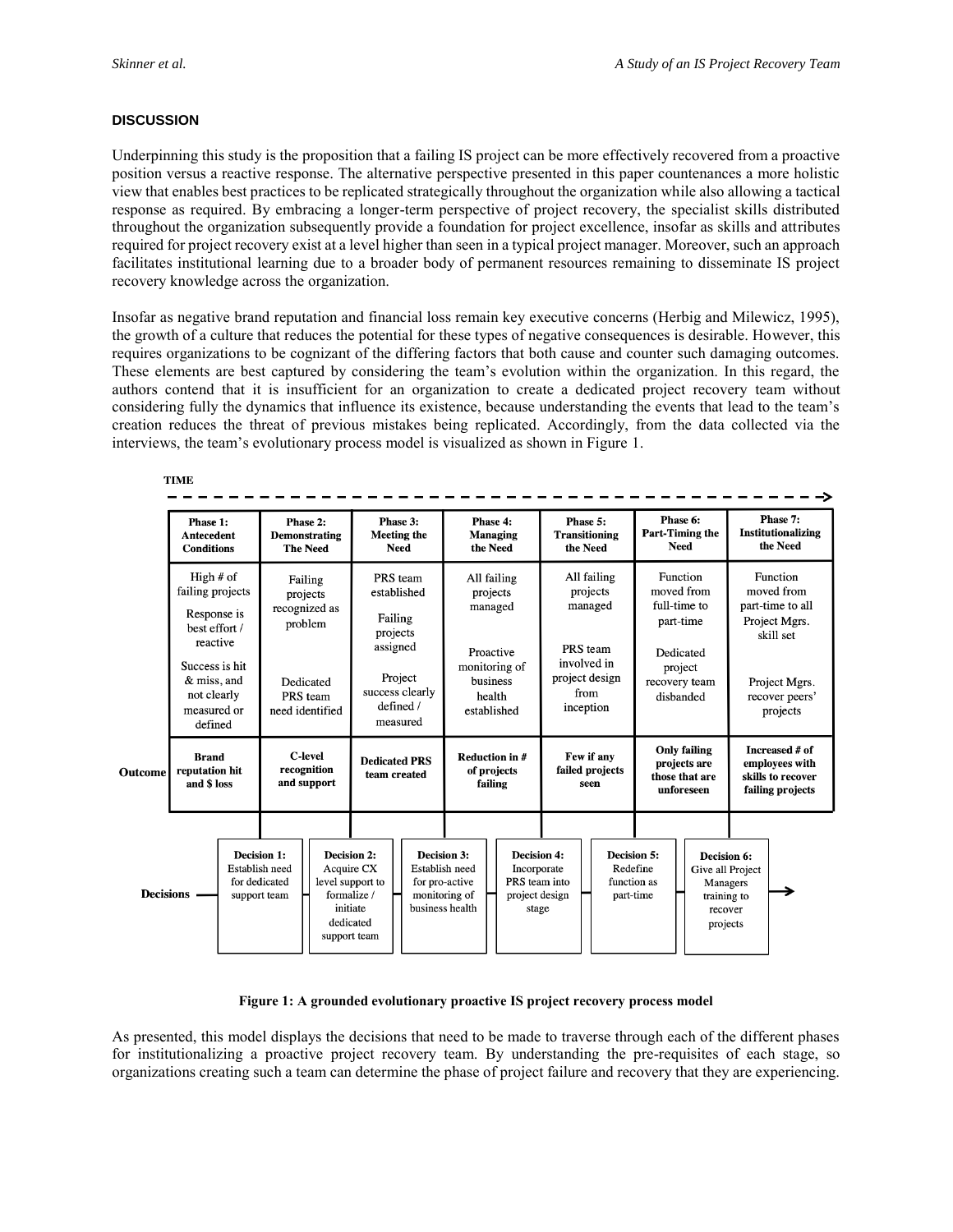#### **DISCUSSION**

Underpinning this study is the proposition that a failing IS project can be more effectively recovered from a proactive position versus a reactive response. The alternative perspective presented in this paper countenances a more holistic view that enables best practices to be replicated strategically throughout the organization while also allowing a tactical response as required. By embracing a longer-term perspective of project recovery, the specialist skills distributed throughout the organization subsequently provide a foundation for project excellence, insofar as skills and attributes required for project recovery exist at a level higher than seen in a typical project manager. Moreover, such an approach facilitates institutional learning due to a broader body of permanent resources remaining to disseminate IS project recovery knowledge across the organization.

Insofar as negative brand reputation and financial loss remain key executive concerns (Herbig and Milewicz, 1995), the growth of a culture that reduces the potential for these types of negative consequences is desirable. However, this requires organizations to be cognizant of the differing factors that both cause and counter such damaging outcomes. These elements are best captured by considering the team's evolution within the organization. In this regard, the authors contend that it is insufficient for an organization to create a dedicated project recovery team without considering fully the dynamics that influence its existence, because understanding the events that lead to the team's creation reduces the threat of previous mistakes being replicated. Accordingly, from the data collected via the interviews, the team's evolutionary process model is visualized as shown in Figure 1.

**TIME** 

|                                                          | Phase 1:<br><b>Antecedent</b><br><b>Conditions</b>                          |                                                                       | Phase 2:<br>Demonstrating<br><b>The Need</b>    |  | Phase 3:<br><b>Meeting the</b><br><b>Need</b>                                                                                                                                                              |  | Phase 4:<br><b>Managing</b><br>the Need                                                               |  |                                                            | Phase 5:<br><b>Transitioning</b><br>the Need                                                         |                                                                                   | Phase 6:<br>Part-Timing the<br><b>Need</b>                                                                |                                                                           | Phase 7:<br>Institutionalizing<br>the Need                               |  |
|----------------------------------------------------------|-----------------------------------------------------------------------------|-----------------------------------------------------------------------|-------------------------------------------------|--|------------------------------------------------------------------------------------------------------------------------------------------------------------------------------------------------------------|--|-------------------------------------------------------------------------------------------------------|--|------------------------------------------------------------|------------------------------------------------------------------------------------------------------|-----------------------------------------------------------------------------------|-----------------------------------------------------------------------------------------------------------|---------------------------------------------------------------------------|--------------------------------------------------------------------------|--|
|                                                          | High $#$ of<br>failing projects<br>Response is<br>best effort /<br>reactive |                                                                       | Failing<br>projects<br>recognized as<br>problem |  | PRS team<br>established<br>Failing<br>projects                                                                                                                                                             |  | All failing<br>projects<br>managed<br>Proactive<br>monitoring of<br>business<br>health<br>established |  |                                                            | All failing<br>projects<br>managed<br>PRS team<br>involved in<br>project design<br>from<br>inception |                                                                                   | Function<br>moved from<br>full-time to<br>part-time<br>Dedicated<br>project<br>recovery team<br>disbanded |                                                                           | Function<br>moved from<br>part-time to all<br>Project Mgrs.<br>skill set |  |
|                                                          | Success is hit<br>& miss, and<br>not clearly<br>measured or<br>defined      |                                                                       | Dedicated<br>PRS team<br>need identified        |  | assigned<br>Project<br>success clearly<br>defined /<br>measured                                                                                                                                            |  |                                                                                                       |  |                                                            |                                                                                                      |                                                                                   |                                                                                                           |                                                                           | Project Mgrs.<br>recover peers'<br>projects                              |  |
| <b>Brand</b><br>reputation hit<br>Outcome<br>and \$ loss |                                                                             |                                                                       | <b>C-level</b><br>recognition<br>and support    |  | <b>Dedicated PRS</b><br>team created                                                                                                                                                                       |  | <b>Reduction in #</b><br>of projects<br>failing                                                       |  | Few if any<br>failed projects<br>seen                      |                                                                                                      | <b>Only failing</b><br>projects are<br>those that are<br>unforeseen               |                                                                                                           | Increased # of<br>employees with<br>skills to recover<br>failing projects |                                                                          |  |
| <b>Decisions</b>                                         |                                                                             | <b>Decision 1:</b><br>Establish need<br>for dedicated<br>support team |                                                 |  | <b>Decision 2:</b><br><b>Decision 3:</b><br>Acquire CX<br>Establish need<br>level support to<br>for pro-active<br>formalize /<br>monitoring of<br>business health<br>initiate<br>dedicated<br>support team |  | <b>Decision 4:</b><br>Incorporate<br>PRS team into<br>project design<br>stage                         |  | <b>Decision 5:</b><br>Redefine<br>function as<br>part-time |                                                                                                      | Decision 6:<br>Give all Project<br>Managers<br>training to<br>recover<br>projects |                                                                                                           |                                                                           |                                                                          |  |

#### **Figure 1: A grounded evolutionary proactive IS project recovery process model**

As presented, this model displays the decisions that need to be made to traverse through each of the different phases for institutionalizing a proactive project recovery team. By understanding the pre-requisites of each stage, so organizations creating such a team can determine the phase of project failure and recovery that they are experiencing.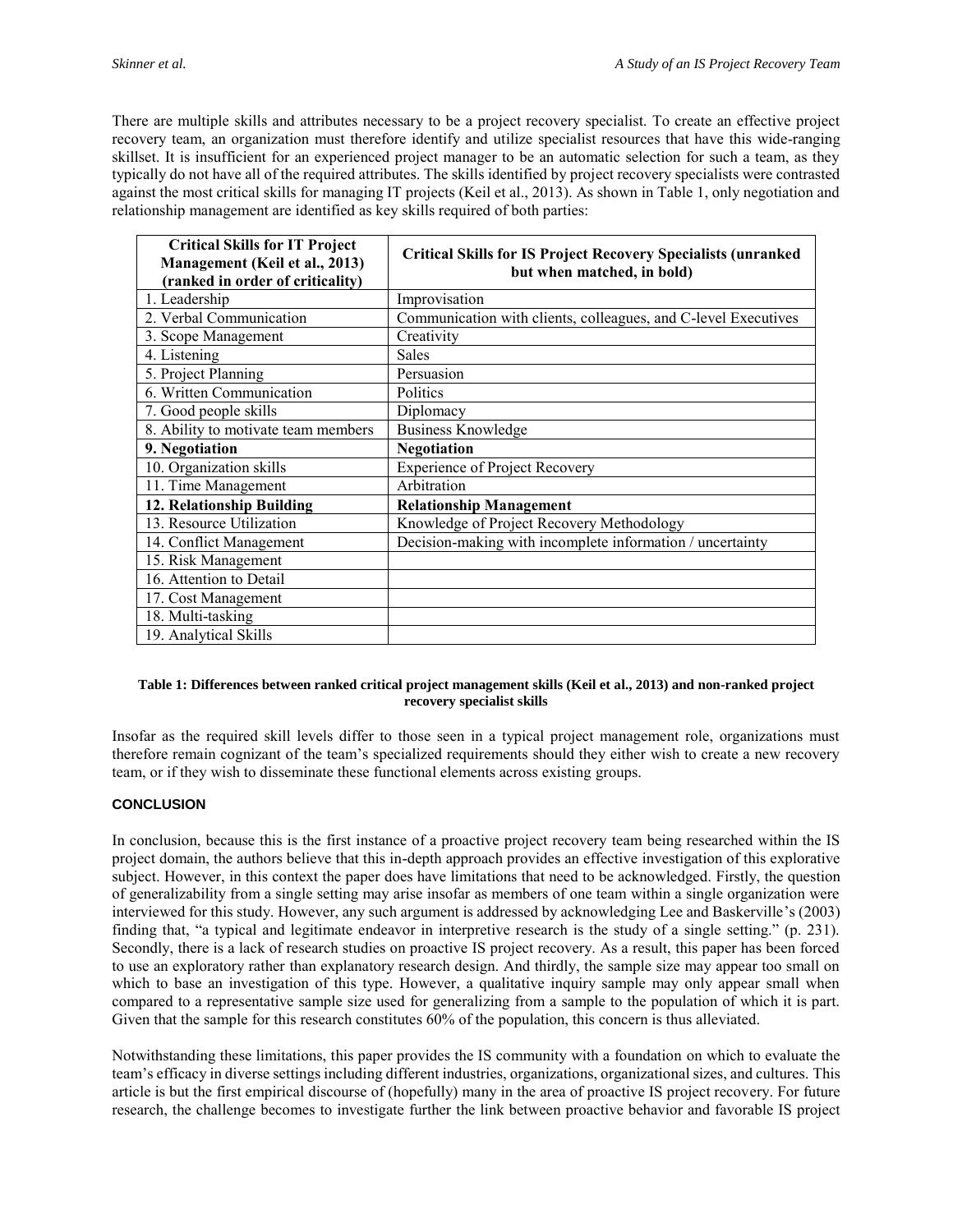There are multiple skills and attributes necessary to be a project recovery specialist. To create an effective project recovery team, an organization must therefore identify and utilize specialist resources that have this wide-ranging skillset. It is insufficient for an experienced project manager to be an automatic selection for such a team, as they typically do not have all of the required attributes. The skills identified by project recovery specialists were contrasted against the most critical skills for managing IT projects (Keil et al., 2013). As shown in Table 1, only negotiation and relationship management are identified as key skills required of both parties:

| <b>Critical Skills for IT Project</b><br>Management (Keil et al., 2013)<br>(ranked in order of criticality) | <b>Critical Skills for IS Project Recovery Specialists (unranked</b><br>but when matched, in bold) |  |  |  |  |  |  |
|-------------------------------------------------------------------------------------------------------------|----------------------------------------------------------------------------------------------------|--|--|--|--|--|--|
| 1. Leadership                                                                                               | Improvisation                                                                                      |  |  |  |  |  |  |
| 2. Verbal Communication                                                                                     | Communication with clients, colleagues, and C-level Executives                                     |  |  |  |  |  |  |
| 3. Scope Management                                                                                         | Creativity                                                                                         |  |  |  |  |  |  |
| 4. Listening                                                                                                | <b>Sales</b>                                                                                       |  |  |  |  |  |  |
| 5. Project Planning                                                                                         | Persuasion                                                                                         |  |  |  |  |  |  |
| 6. Written Communication                                                                                    | Politics                                                                                           |  |  |  |  |  |  |
| 7. Good people skills                                                                                       | Diplomacy                                                                                          |  |  |  |  |  |  |
| 8. Ability to motivate team members                                                                         | <b>Business Knowledge</b>                                                                          |  |  |  |  |  |  |
| 9. Negotiation                                                                                              | <b>Negotiation</b>                                                                                 |  |  |  |  |  |  |
| 10. Organization skills                                                                                     | <b>Experience of Project Recovery</b>                                                              |  |  |  |  |  |  |
| 11. Time Management                                                                                         | Arbitration                                                                                        |  |  |  |  |  |  |
| 12. Relationship Building                                                                                   | <b>Relationship Management</b>                                                                     |  |  |  |  |  |  |
| 13. Resource Utilization                                                                                    | Knowledge of Project Recovery Methodology                                                          |  |  |  |  |  |  |
| 14. Conflict Management                                                                                     | Decision-making with incomplete information / uncertainty                                          |  |  |  |  |  |  |
| 15. Risk Management                                                                                         |                                                                                                    |  |  |  |  |  |  |
| 16. Attention to Detail                                                                                     |                                                                                                    |  |  |  |  |  |  |
| 17. Cost Management                                                                                         |                                                                                                    |  |  |  |  |  |  |
| 18. Multi-tasking                                                                                           |                                                                                                    |  |  |  |  |  |  |
| 19. Analytical Skills                                                                                       |                                                                                                    |  |  |  |  |  |  |

#### **Table 1: Differences between ranked critical project management skills (Keil et al., 2013) and non-ranked project recovery specialist skills**

Insofar as the required skill levels differ to those seen in a typical project management role, organizations must therefore remain cognizant of the team's specialized requirements should they either wish to create a new recovery team, or if they wish to disseminate these functional elements across existing groups.

#### **CONCLUSION**

In conclusion, because this is the first instance of a proactive project recovery team being researched within the IS project domain, the authors believe that this in-depth approach provides an effective investigation of this explorative subject. However, in this context the paper does have limitations that need to be acknowledged. Firstly, the question of generalizability from a single setting may arise insofar as members of one team within a single organization were interviewed for this study. However, any such argument is addressed by acknowledging Lee and Baskerville's (2003) finding that, "a typical and legitimate endeavor in interpretive research is the study of a single setting." (p. 231). Secondly, there is a lack of research studies on proactive IS project recovery. As a result, this paper has been forced to use an exploratory rather than explanatory research design. And thirdly, the sample size may appear too small on which to base an investigation of this type. However, a qualitative inquiry sample may only appear small when compared to a representative sample size used for generalizing from a sample to the population of which it is part. Given that the sample for this research constitutes 60% of the population, this concern is thus alleviated.

Notwithstanding these limitations, this paper provides the IS community with a foundation on which to evaluate the team's efficacy in diverse settings including different industries, organizations, organizational sizes, and cultures. This article is but the first empirical discourse of (hopefully) many in the area of proactive IS project recovery. For future research, the challenge becomes to investigate further the link between proactive behavior and favorable IS project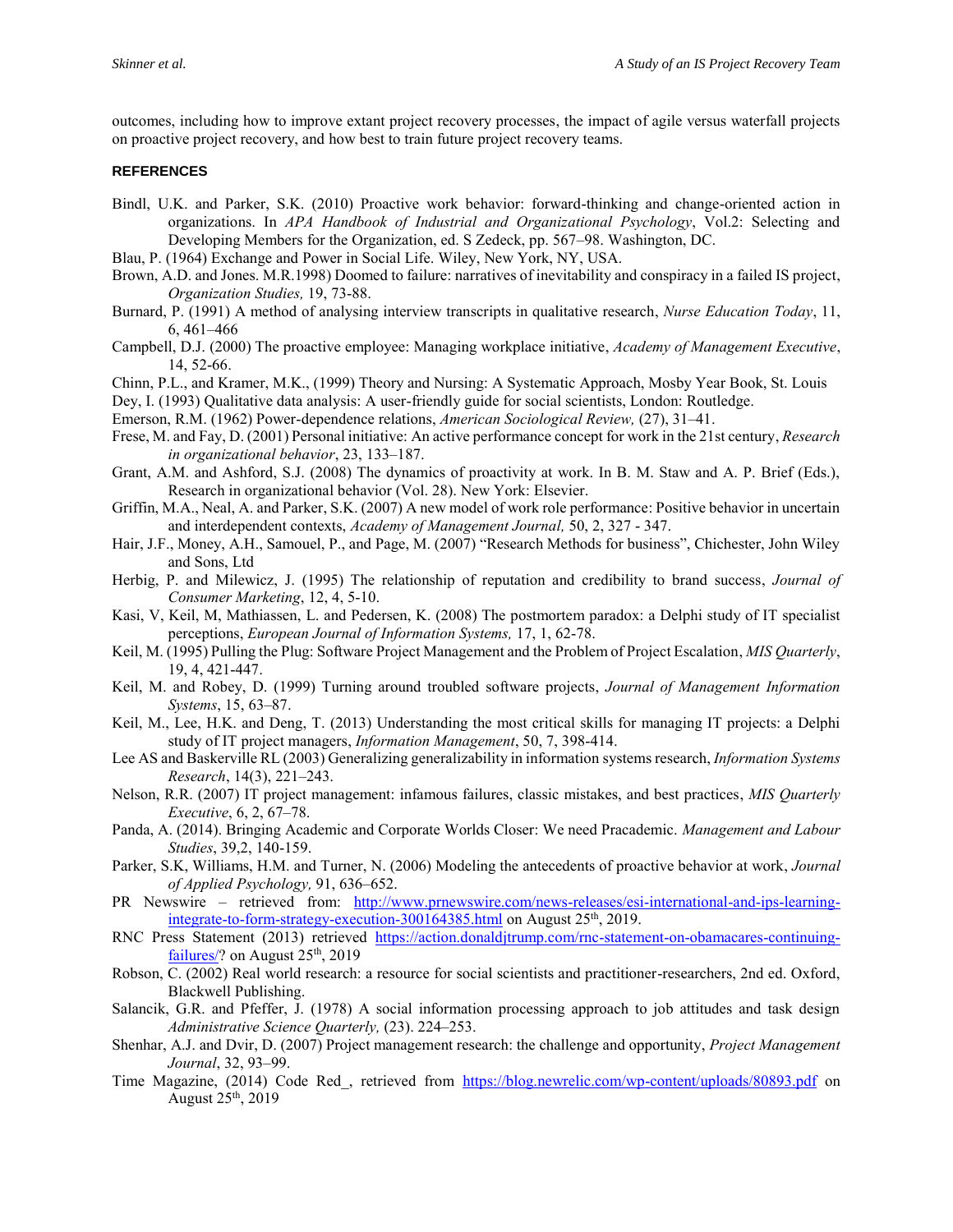outcomes, including how to improve extant project recovery processes, the impact of agile versus waterfall projects on proactive project recovery, and how best to train future project recovery teams.

#### **REFERENCES**

- Bindl, U.K. and Parker, S.K. (2010) Proactive work behavior: forward-thinking and change-oriented action in organizations. In *APA Handbook of Industrial and Organizational Psychology*, Vol.2: Selecting and Developing Members for the Organization, ed. S Zedeck, pp. 567–98. Washington, DC.
- Blau, P. (1964) Exchange and Power in Social Life. Wiley, New York, NY, USA.
- Brown, A.D. and Jones. M.R.1998) Doomed to failure: narratives of inevitability and conspiracy in a failed IS project, *Organization Studies,* 19, 73-88.
- Burnard, P. (1991) A method of analysing interview transcripts in qualitative research, *Nurse Education Today*, 11, 6, 461–466
- Campbell, D.J. (2000) The proactive employee: Managing workplace initiative, *Academy of Management Executive*, 14, 52-66.
- Chinn, P.L., and Kramer, M.K., (1999) Theory and Nursing: A Systematic Approach, Mosby Year Book, St. Louis
- Dey, I. (1993) Qualitative data analysis: A user-friendly guide for social scientists, London: Routledge.

Emerson, R.M. (1962) Power-dependence relations, *American Sociological Review,* (27), 31–41.

- Frese, M. and Fay, D. (2001) Personal initiative: An active performance concept for work in the 21st century, *Research in organizational behavior*, 23, 133–187.
- Grant, A.M. and Ashford, S.J. (2008) The dynamics of proactivity at work. In B. M. Staw and A. P. Brief (Eds.), Research in organizational behavior (Vol. 28). New York: Elsevier.
- Griffin, M.A., Neal, A. and Parker, S.K. (2007) A new model of work role performance: Positive behavior in uncertain and interdependent contexts, *Academy of Management Journal,* 50, 2, 327 - 347.
- Hair, J.F., Money, A.H., Samouel, P., and Page, M. (2007) "Research Methods for business", Chichester, John Wiley and Sons, Ltd
- Herbig, P. and Milewicz, J. (1995) The relationship of reputation and credibility to brand success, *Journal of Consumer Marketing*, 12, 4, 5-10.
- Kasi, V, Keil, M, Mathiassen, L. and Pedersen, K. (2008) The postmortem paradox: a Delphi study of IT specialist perceptions, *European Journal of Information Systems,* 17, 1, 62-78.
- Keil, M. (1995) Pulling the Plug: Software Project Management and the Problem of Project Escalation, *MIS Quarterly*, 19, 4, 421-447.
- Keil, M. and Robey, D. (1999) Turning around troubled software projects, *Journal of Management Information Systems*, 15, 63–87.
- Keil, M., Lee, H.K. and Deng, T. (2013) Understanding the most critical skills for managing IT projects: a Delphi study of IT project managers, *Information Management*, 50, 7, 398-414.
- Lee AS and Baskerville RL (2003) Generalizing generalizability in information systems research, *Information Systems Research*, 14(3), 221–243.
- Nelson, R.R. (2007) IT project management: infamous failures, classic mistakes, and best practices, *MIS Quarterly Executive*, 6, 2, 67–78.
- Panda, A. (2014). Bringing Academic and Corporate Worlds Closer: We need Pracademic. *Management and Labour Studies*, 39,2, 140-159.
- Parker, S.K, Williams, H.M. and Turner, N. (2006) Modeling the antecedents of proactive behavior at work, *Journal of Applied Psychology,* 91, 636–652.
- PR Newswire retrieved from: [http://www.prnewswire.com/news-releases/esi-international-and-ips-learning](http://www.prnewswire.com/news-releases/esi-international-and-ips-learning-integrate-to-form-strategy-execution-300164385.html)[integrate-to-form-strategy-execution-300164385.html](http://www.prnewswire.com/news-releases/esi-international-and-ips-learning-integrate-to-form-strategy-execution-300164385.html) on August 25<sup>th</sup>, 2019.
- RNC Press Statement (2013) retrieved [https://action.donaldjtrump.com/rnc-statement-on-obamacares-continuing](https://action.donaldjtrump.com/rnc-statement-on-obamacares-continuing-failures/)[failures/?](https://action.donaldjtrump.com/rnc-statement-on-obamacares-continuing-failures/) on August  $25<sup>th</sup>$ , 2019
- Robson, C. (2002) Real world research: a resource for social scientists and practitioner-researchers, 2nd ed. Oxford, Blackwell Publishing.
- Salancik, G.R. and Pfeffer, J. (1978) A social information processing approach to job attitudes and task design *Administrative Science Quarterly,* (23). 224–253.
- Shenhar, A.J. and Dvir, D. (2007) Project management research: the challenge and opportunity, *Project Management Journal*, 32, 93–99.
- Time Magazine, (2014) Code Red\_, retrieved from <https://blog.newrelic.com/wp-content/uploads/80893.pdf> on August  $25<sup>th</sup>$ , 2019